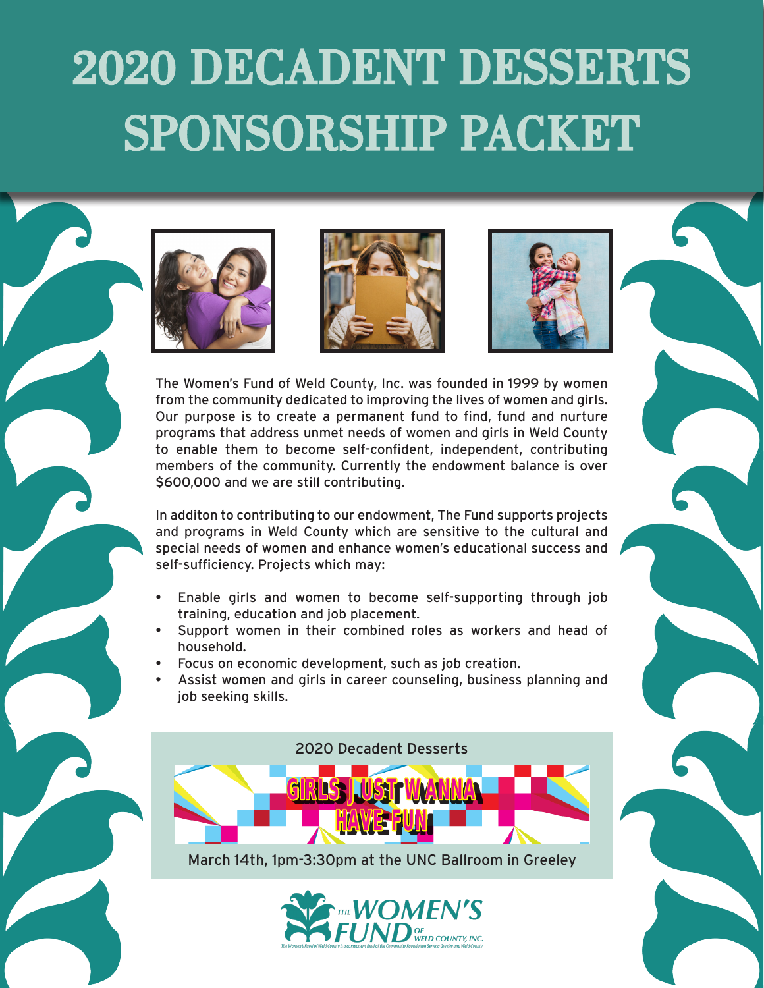# 2020 DECADENT DESSERTS SPONSORSHIP PACKET







The Women's Fund of Weld County, Inc. was founded in 1999 by women from the community dedicated to improving the lives of women and girls. Our purpose is to create a permanent fund to find, fund and nurture programs that address unmet needs of women and girls in Weld County to enable them to become self-confident, independent, contributing members of the community. Currently the endowment balance is over \$600,000 and we are still contributing.

In additon to contributing to our endowment, The Fund supports projects and programs in Weld County which are sensitive to the cultural and special needs of women and enhance women's educational success and self-sufficiency. Projects which may:

- Enable girls and women to become self-supporting through job training, education and job placement.
- Support women in their combined roles as workers and head of household.
- Focus on economic development, such as job creation.
- Assist women and girls in career counseling, business planning and job seeking skills.



March 14th, 1pm-3:30pm at the UNC Ballroom in Greeley

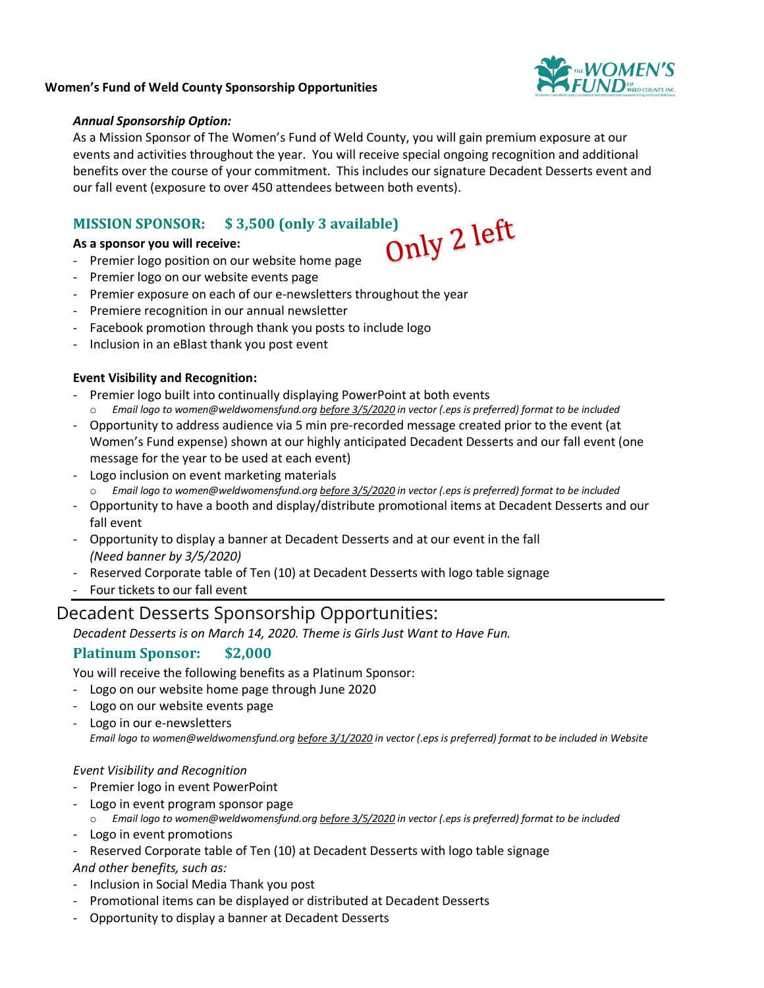

#### **Women's Fund of Weld County Sponsorship Opportunities**

#### *Annual Sponsorship Option:*

As a Mission Sponsor of The Women's Fund of Weld County, you will gain premium exposure at our events and activities throughout the year. You will receive special ongoing recognition and additional benefits over the course of your commitment. This includes our signature Decadent Desserts event and our fall event (exposure to over 450 attendees between both events).

# **MISSION SPONSOR:** \$ 3,500 (only 3 available)<br>As a sponsor you will receive:<br>Premier logo position as

**As a sponsor you will receive:**

- Premier logo position on our website home page
- Premier logo on our website events page
- Premier exposure on each of our e-newsletters throughout the year
- Premiere recognition in our annual newsletter
- Facebook promotion through thank you posts to include logo
- Inclusion in an eBlast thank you post event

# **Event Visibility and Recognition:**

- Premier logo built into continually displaying PowerPoint at both events o *Email logo to women@weldwomensfund.org before 3/5/2020 in vector (.eps is preferred) format to be included*
- Opportunity to address audience via 5 min pre-recorded message created prior to the event (at Women's Fund expense) shown at our highly anticipated Decadent Desserts and our fall event (one message for the year to be used at each event)
- Logo inclusion on event marketing materials o *Email logo to women@weldwomensfund.org before 3/5/2020 in vector (.eps is preferred) format to be included*
- Opportunity to have a booth and display/distribute promotional items at Decadent Desserts and our fall event
- Opportunity to display a banner at Decadent Desserts and at our event in the fall *(Need banner by 3/5/2020)*
- Reserved Corporate table of Ten (10) at Decadent Desserts with logo table signage
- Four tickets to our fall event

# Decadent Desserts Sponsorship Opportunities:

*Decadent Desserts is on March 14, 2020. Theme is Girls Just Want to Have Fun.* 

# **Platinum Sponsor: \$2,000**

You will receive the following benefits as a Platinum Sponsor:

- Logo on our website home page through June 2020
- Logo on our website events page
- Logo in our e-newsletters *Email logo to women@weldwomensfund.org before 3/1/2020 in vector (.eps is preferred) format to be included in Website*

#### *Event Visibility and Recognition*

- Premier logo in event PowerPoint
- Logo in event program sponsor page
- o *Email logo to women@weldwomensfund.org before 3/5/2020 in vector (.eps is preferred) format to be included*
- Logo in event promotions
- Reserved Corporate table of Ten (10) at Decadent Desserts with logo table signage

*And other benefits, such as:*

- Inclusion in Social Media Thank you post
- Promotional items can be displayed or distributed at Decadent Desserts
- Opportunity to display a banner at Decadent Desserts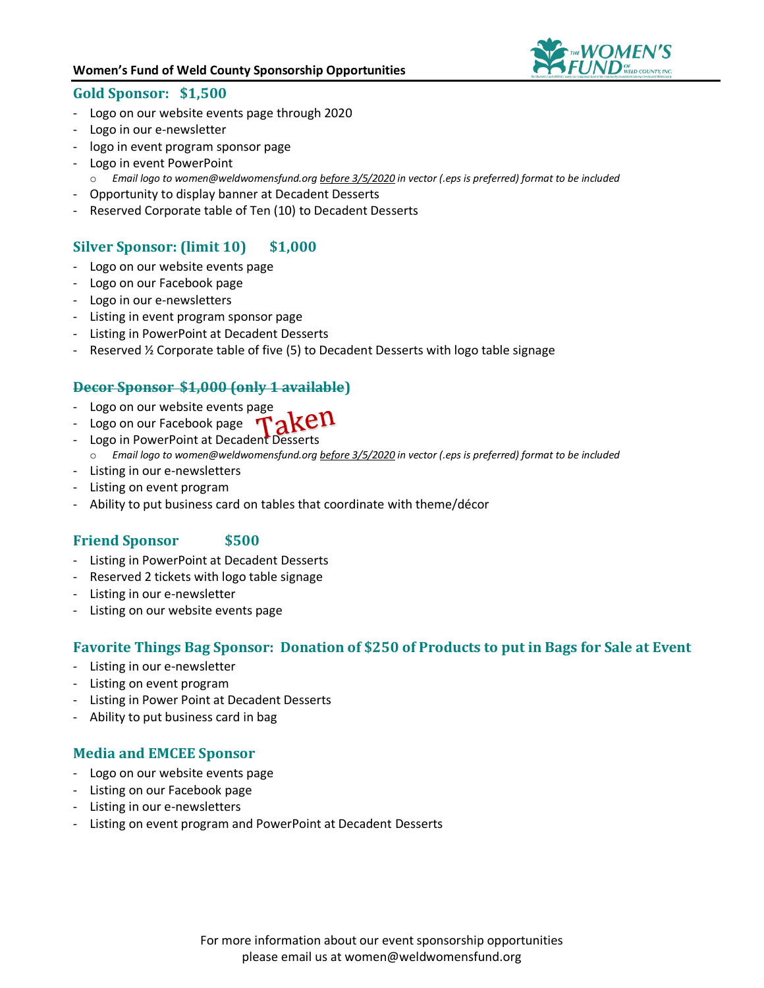#### **Women's Fund of Weld County Sponsorship Opportunities**



#### **Gold Sponsor: \$1,500**

- Logo on our website events page through 2020
- Logo in our e-newsletter
- logo in event program sponsor page
- Logo in event PowerPoint
	- o *Email logo to women@weldwomensfund.org before 3/5/2020 in vector (.eps is preferred) format to be included*
- Opportunity to display banner at Decadent Desserts
- Reserved Corporate table of Ten (10) to Decadent Desserts

# **Silver Sponsor: (limit 10) \$1,000**

- Logo on our website events page
- Logo on our Facebook page
- Logo in our e-newsletters
- Listing in event program sponsor page
- Listing in PowerPoint at Decadent Desserts
- Reserved ½ Corporate table of five (5) to Decadent Desserts with logo table signage

#### **Decor Sponsor \$1,000 (only 1 available)**

- Logo on our website events page
- Logo on our Facebook page  $\tau_{AK}$ CII
- Logo in PowerPoint at Decadent Desserts
	- o *Email logo to women@weldwomensfund.org before 3/5/2020 in vector (.eps is preferred) format to be included*
- Listing in our e-newsletters
- Listing on event program
- Ability to put business card on tables that coordinate with theme/décor

# **Friend Sponsor \$500**

- Listing in PowerPoint at Decadent Desserts
- Reserved 2 tickets with logo table signage
- Listing in our e-newsletter
- Listing on our website events page

#### **Favorite Things Bag Sponsor: Donation of \$250 of Products to put in Bags for Sale at Event**

- Listing in our e-newsletter
- Listing on event program
- Listing in Power Point at Decadent Desserts
- Ability to put business card in bag

# **Media and EMCEE Sponsor**

- Logo on our website events page
- Listing on our Facebook page
- Listing in our e-newsletters
- Listing on event program and PowerPoint at Decadent Desserts